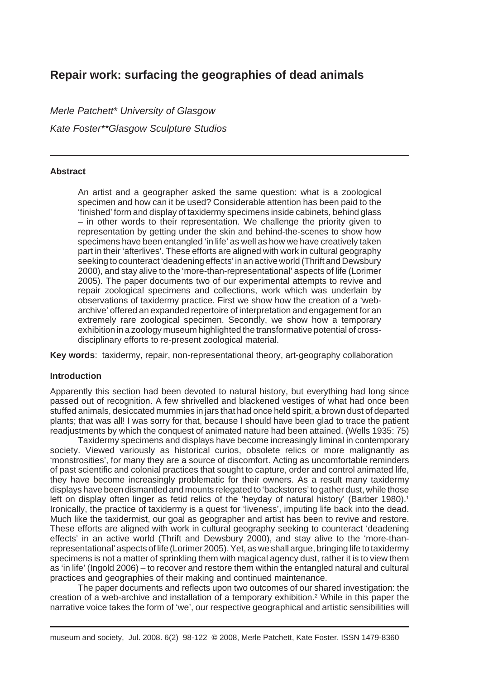# **Repair work: surfacing the geographies of dead animals**

*Merle Patchett\* University of Glasgow Kate Foster\*\*Glasgow Sculpture Studios*

## **Abstract**

An artist and a geographer asked the same question: what is a zoological specimen and how can it be used? Considerable attention has been paid to the 'finished' form and display of taxidermy specimens inside cabinets, behind glass – in other words to their representation. We challenge the priority given to representation by getting under the skin and behind-the-scenes to show how specimens have been entangled 'in life' as well as how we have creatively taken part in their 'afterlives'. These efforts are aligned with work in cultural geography seeking to counteract 'deadening effects' in an active world (Thrift and Dewsbury 2000), and stay alive to the 'more-than-representational' aspects of life (Lorimer 2005). The paper documents two of our experimental attempts to revive and repair zoological specimens and collections, work which was underlain by observations of taxidermy practice. First we show how the creation of a 'webarchive' offered an expanded repertoire of interpretation and engagement for an extremely rare zoological specimen. Secondly, we show how a temporary exhibition in a zoology museum highlighted the transformative potential of crossdisciplinary efforts to re-present zoological material.

**Key words**: taxidermy, repair, non-representational theory, art-geography collaboration

## **Introduction**

Apparently this section had been devoted to natural history, but everything had long since passed out of recognition. A few shrivelled and blackened vestiges of what had once been stuffed animals, desiccated mummies in jars that had once held spirit, a brown dust of departed plants; that was all! I was sorry for that, because I should have been glad to trace the patient readjustments by which the conquest of animated nature had been attained. (Wells 1935: 75)

Taxidermy specimens and displays have become increasingly liminal in contemporary society. Viewed variously as historical curios, obsolete relics or more malignantly as 'monstrosities', for many they are a source of discomfort. Acting as uncomfortable reminders of past scientific and colonial practices that sought to capture, order and control animated life, they have become increasingly problematic for their owners. As a result many taxidermy displays have been dismantled and mounts relegated to 'backstores' to gather dust, while those left on display often linger as fetid relics of the 'heyday of natural history' (Barber 1980).<sup>1</sup> Ironically, the practice of taxidermy is a quest for 'liveness', imputing life back into the dead. Much like the taxidermist, our goal as geographer and artist has been to revive and restore. These efforts are aligned with work in cultural geography seeking to counteract 'deadening effects' in an active world (Thrift and Dewsbury 2000), and stay alive to the 'more-thanrepresentational' aspects of life (Lorimer 2005). Yet, as we shall argue, bringing life to taxidermy specimens is not a matter of sprinkling them with magical agency dust, rather it is to view them as 'in life' (Ingold 2006) – to recover and restore them within the entangled natural and cultural practices and geographies of their making and continued maintenance.

The paper documents and reflects upon two outcomes of our shared investigation: the creation of a web-archive and installation of a temporary exhibition.2 While in this paper the narrative voice takes the form of 'we', our respective geographical and artistic sensibilities will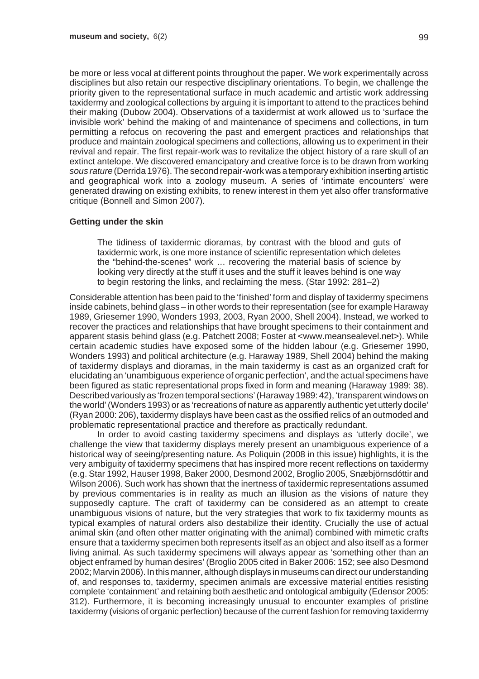be more or less vocal at different points throughout the paper. We work experimentally across disciplines but also retain our respective disciplinary orientations. To begin, we challenge the priority given to the representational surface in much academic and artistic work addressing taxidermy and zoological collections by arguing it is important to attend to the practices behind their making (Dubow 2004). Observations of a taxidermist at work allowed us to 'surface the invisible work' behind the making of and maintenance of specimens and collections, in turn permitting a refocus on recovering the past and emergent practices and relationships that produce and maintain zoological specimens and collections, allowing us to experiment in their revival and repair. The first repair-work was to revitalize the object history of a rare skull of an extinct antelope. We discovered emancipatory and creative force is to be drawn from working *sous rature* (Derrida 1976). The second repair-work was a temporary exhibition inserting artistic and geographical work into a zoology museum. A series of 'intimate encounters' were generated drawing on existing exhibits, to renew interest in them yet also offer transformative critique (Bonnell and Simon 2007).

#### **Getting under the skin**

The tidiness of taxidermic dioramas, by contrast with the blood and guts of taxidermic work, is one more instance of scientific representation which deletes the "behind-the-scenes" work … recovering the material basis of science by looking very directly at the stuff it uses and the stuff it leaves behind is one way to begin restoring the links, and reclaiming the mess. (Star 1992: 281–2)

Considerable attention has been paid to the 'finished' form and display of taxidermy specimens inside cabinets, behind glass – in other words to their representation (see for example Haraway 1989, Griesemer 1990, Wonders 1993, 2003, Ryan 2000, Shell 2004). Instead, we worked to recover the practices and relationships that have brought specimens to their containment and apparent stasis behind glass (e.g. Patchett 2008; Foster at <www.meansealevel.net>). While certain academic studies have exposed some of the hidden labour (e.g. Griesemer 1990, Wonders 1993) and political architecture (e.g. Haraway 1989, Shell 2004) behind the making of taxidermy displays and dioramas, in the main taxidermy is cast as an organized craft for elucidating an 'unambiguous experience of organic perfection', and the actual specimens have been figured as static representational props fixed in form and meaning (Haraway 1989: 38). Described variously as 'frozen temporal sections' (Haraway 1989: 42), 'transparent windows on the world' (Wonders 1993) or as 'recreations of nature as apparently authentic yet utterly docile' (Ryan 2000: 206), taxidermy displays have been cast as the ossified relics of an outmoded and problematic representational practice and therefore as practically redundant.

In order to avoid casting taxidermy specimens and displays as 'utterly docile', we challenge the view that taxidermy displays merely present an unambiguous experience of a historical way of seeing/presenting nature. As Poliquin (2008 in this issue) highlights, it is the very ambiguity of taxidermy specimens that has inspired more recent reflections on taxidermy (e.g. Star 1992, Hauser 1998, Baker 2000, Desmond 2002, Broglio 2005, Snæbjörnsdóttir and Wilson 2006). Such work has shown that the inertness of taxidermic representations assumed by previous commentaries is in reality as much an illusion as the visions of nature they supposedly capture. The craft of taxidermy can be considered as an attempt to create unambiguous visions of nature, but the very strategies that work to fix taxidermy mounts as typical examples of natural orders also destabilize their identity. Crucially the use of actual animal skin (and often other matter originating with the animal) combined with mimetic crafts ensure that a taxidermy specimen both represents itself as an object and also itself as a former living animal. As such taxidermy specimens will always appear as 'something other than an object enframed by human desires' (Broglio 2005 cited in Baker 2006: 152; see also Desmond 2002; Marvin 2006). In this manner, although displays in museums can direct our understanding of, and responses to, taxidermy, specimen animals are excessive material entities resisting complete 'containment' and retaining both aesthetic and ontological ambiguity (Edensor 2005: 312). Furthermore, it is becoming increasingly unusual to encounter examples of pristine taxidermy (visions of organic perfection) because of the current fashion for removing taxidermy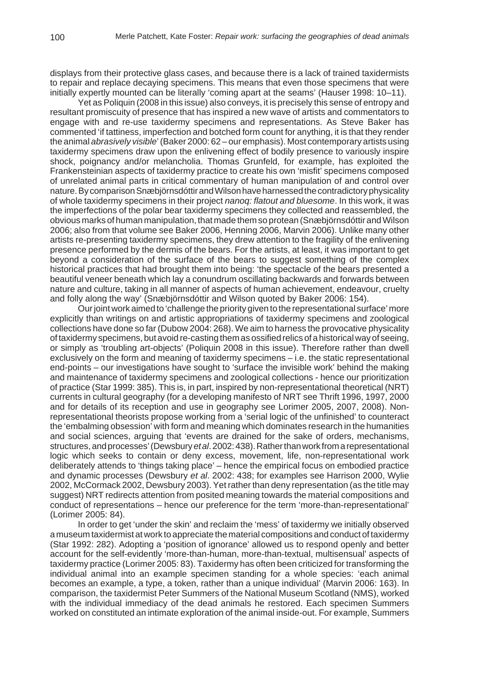displays from their protective glass cases, and because there is a lack of trained taxidermists to repair and replace decaying specimens. This means that even those specimens that were initially expertly mounted can be literally 'coming apart at the seams' (Hauser 1998: 10–11).

Yet as Poliquin (2008 in this issue) also conveys, it is precisely this sense of entropy and resultant promiscuity of presence that has inspired a new wave of artists and commentators to engage with and re-use taxidermy specimens and representations. As Steve Baker has commented 'if tattiness, imperfection and botched form count for anything, it is that they render the animal *abrasively visible*' (Baker 2000: 62 – our emphasis). Most contemporary artists using taxidermy specimens draw upon the enlivening effect of bodily presence to variously inspire shock, poignancy and/or melancholia. Thomas Grunfeld, for example, has exploited the Frankensteinian aspects of taxidermy practice to create his own 'misfit' specimens composed of unrelated animal parts in critical commentary of human manipulation of and control over nature. By comparison Snæbjörnsdóttir and Wilson have harnessed the contradictory physicality of whole taxidermy specimens in their project *nanoq: flatout and bluesome*. In this work, it was the imperfections of the polar bear taxidermy specimens they collected and reassembled, the obvious marks of human manipulation, that made them so protean (Snæbjörnsdóttir and Wilson 2006; also from that volume see Baker 2006, Henning 2006, Marvin 2006). Unlike many other artists re-presenting taxidermy specimens, they drew attention to the fragility of the enlivening presence performed by the dermis of the bears. For the artists, at least, it was important to get beyond a consideration of the surface of the bears to suggest something of the complex historical practices that had brought them into being: 'the spectacle of the bears presented a beautiful veneer beneath which lay a conundrum oscillating backwards and forwards between nature and culture, taking in all manner of aspects of human achievement, endeavour, cruelty and folly along the way' (Snæbjörnsdóttir and Wilson quoted by Baker 2006: 154).

Our joint work aimed to 'challenge the priority given to the representational surface' more explicitly than writings on and artistic appropriations of taxidermy specimens and zoological collections have done so far (Dubow 2004: 268). We aim to harness the provocative physicality of taxidermy specimens, but avoid re-casting them as ossified relics of a historical way of seeing, or simply as 'troubling art-objects' (Poliquin 2008 in this issue). Therefore rather than dwell exclusively on the form and meaning of taxidermy specimens – i.e. the static representational end-points – our investigations have sought to 'surface the invisible work' behind the making and maintenance of taxidermy specimens and zoological collections - hence our prioritization of practice (Star 1999: 385). This is, in part, inspired by non-representational theoretical (NRT) currents in cultural geography (for a developing manifesto of NRT see Thrift 1996, 1997, 2000 and for details of its reception and use in geography see Lorimer 2005, 2007, 2008). Nonrepresentational theorists propose working from a 'serial logic of the unfinished' to counteract the 'embalming obsession' with form and meaning which dominates research in the humanities and social sciences, arguing that 'events are drained for the sake of orders, mechanisms, structures, and processes' (Dewsbury *et al*. 2002: 438). Rather than work from a representational logic which seeks to contain or deny excess, movement, life, non-representational work deliberately attends to 'things taking place' – hence the empirical focus on embodied practice and dynamic processes (Dewsbury *et al*. 2002: 438; for examples see Harrison 2000, Wylie 2002, McCormack 2002, Dewsbury 2003). Yet rather than deny representation (as the title may suggest) NRT redirects attention from posited meaning towards the material compositions and conduct of representations – hence our preference for the term 'more-than-representational' (Lorimer 2005: 84).

In order to get 'under the skin' and reclaim the 'mess' of taxidermy we initially observed a museum taxidermist at work to appreciate the material compositions and conduct of taxidermy (Star 1992: 282). Adopting a 'position of ignorance' allowed us to respond openly and better account for the self-evidently 'more-than-human, more-than-textual, multisensual' aspects of taxidermy practice (Lorimer 2005: 83). Taxidermy has often been criticized for transforming the individual animal into an example specimen standing for a whole species: 'each animal becomes an example, a type, a token, rather than a unique individual' (Marvin 2006: 163). In comparison, the taxidermist Peter Summers of the National Museum Scotland (NMS), worked with the individual immediacy of the dead animals he restored. Each specimen Summers worked on constituted an intimate exploration of the animal inside-out. For example, Summers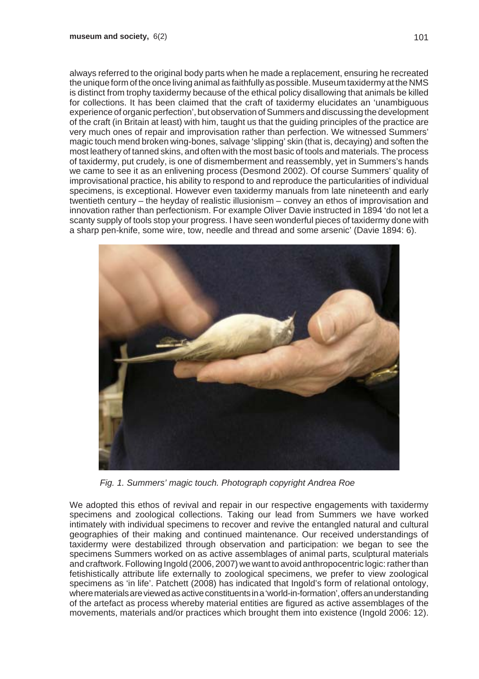always referred to the original body parts when he made a replacement, ensuring he recreated the unique form of the once living animal as faithfully as possible. Museum taxidermy at the NMS is distinct from trophy taxidermy because of the ethical policy disallowing that animals be killed for collections. It has been claimed that the craft of taxidermy elucidates an 'unambiguous experience of organic perfection', but observation of Summers and discussing the development of the craft (in Britain at least) with him, taught us that the guiding principles of the practice are very much ones of repair and improvisation rather than perfection. We witnessed Summers' magic touch mend broken wing-bones, salvage 'slipping' skin (that is, decaying) and soften the most leathery of tanned skins, and often with the most basic of tools and materials. The process of taxidermy, put crudely, is one of dismemberment and reassembly, yet in Summers's hands we came to see it as an enlivening process (Desmond 2002). Of course Summers' quality of improvisational practice, his ability to respond to and reproduce the particularities of individual specimens, is exceptional. However even taxidermy manuals from late nineteenth and early twentieth century – the heyday of realistic illusionism – convey an ethos of improvisation and innovation rather than perfectionism. For example Oliver Davie instructed in 1894 'do not let a scanty supply of tools stop your progress. I have seen wonderful pieces of taxidermy done with a sharp pen-knife, some wire, tow, needle and thread and some arsenic' (Davie 1894: 6).



*Fig. 1. Summers' magic touch. Photograph copyright Andrea Roe*

We adopted this ethos of revival and repair in our respective engagements with taxidermy specimens and zoological collections. Taking our lead from Summers we have worked intimately with individual specimens to recover and revive the entangled natural and cultural geographies of their making and continued maintenance. Our received understandings of taxidermy were destabilized through observation and participation: we began to see the specimens Summers worked on as active assemblages of animal parts, sculptural materials and craftwork. Following Ingold (2006, 2007) we want to avoid anthropocentric logic: rather than fetishistically attribute life externally to zoological specimens, we prefer to view zoological specimens as 'in life'. Patchett (2008) has indicated that Ingold's form of relational ontology, where materials are viewed as active constituents in a 'world-in-formation', offers an understanding of the artefact as process whereby material entities are figured as active assemblages of the movements, materials and/or practices which brought them into existence (Ingold 2006: 12).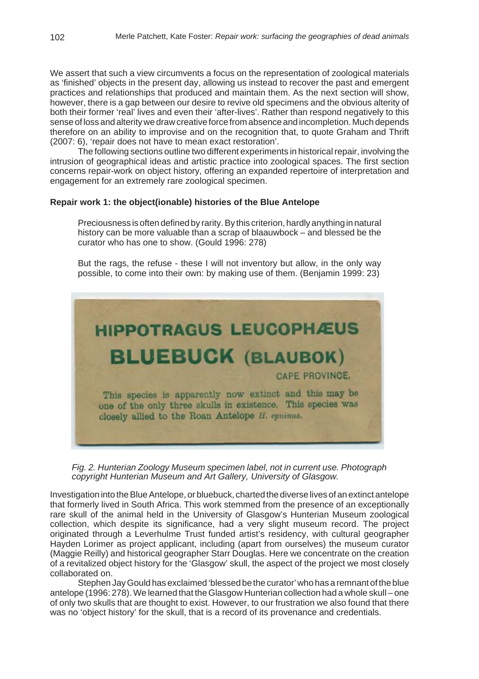We assert that such a view circumvents a focus on the representation of zoological materials as 'finished' objects in the present day, allowing us instead to recover the past and emergent practices and relationships that produced and maintain them. As the next section will show, however, there is a gap between our desire to revive old specimens and the obvious alterity of both their former 'real' lives and even their 'after-lives'. Rather than respond negatively to this sense of loss and alterity we draw creative force from absence and incompletion. Much depends therefore on an ability to improvise and on the recognition that, to quote Graham and Thrift (2007: 6), 'repair does not have to mean exact restoration'.

The following sections outline two different experiments in historical repair, involving the intrusion of geographical ideas and artistic practice into zoological spaces. The first section concerns repair-work on object history, offering an expanded repertoire of interpretation and engagement for an extremely rare zoological specimen.

## **Repair work 1: the object(ionable) histories of the Blue Antelope**

Preciousness is often defined by rarity. By this criterion, hardly anything in natural history can be more valuable than a scrap of blaauwbock – and blessed be the curator who has one to show. (Gould 1996: 278)

But the rags, the refuse - these I will not inventory but allow, in the only way possible, to come into their own: by making use of them. (Benjamin 1999: 23)



*Fig. 2. Hunterian Zoology Museum specimen label, not in current use. Photograph copyright Hunterian Museum and Art Gallery, University of Glasgow.*

Investigation into the Blue Antelope, or bluebuck, charted the diverse lives of an extinct antelope that formerly lived in South Africa. This work stemmed from the presence of an exceptionally rare skull of the animal held in the University of Glasgow's Hunterian Museum zoological collection, which despite its significance, had a very slight museum record. The project originated through a Leverhulme Trust funded artist's residency, with cultural geographer Hayden Lorimer as project applicant, including (apart from ourselves) the museum curator (Maggie Reilly) and historical geographer Starr Douglas. Here we concentrate on the creation of a revitalized object history for the 'Glasgow' skull, the aspect of the project we most closely collaborated on.

Stephen Jay Gould has exclaimed 'blessed be the curator' who has a remnant of the blue antelope (1996: 278). We learned that the Glasgow Hunterian collection had a whole skull – one of only two skulls that are thought to exist. However, to our frustration we also found that there was no 'object history' for the skull, that is a record of its provenance and credentials.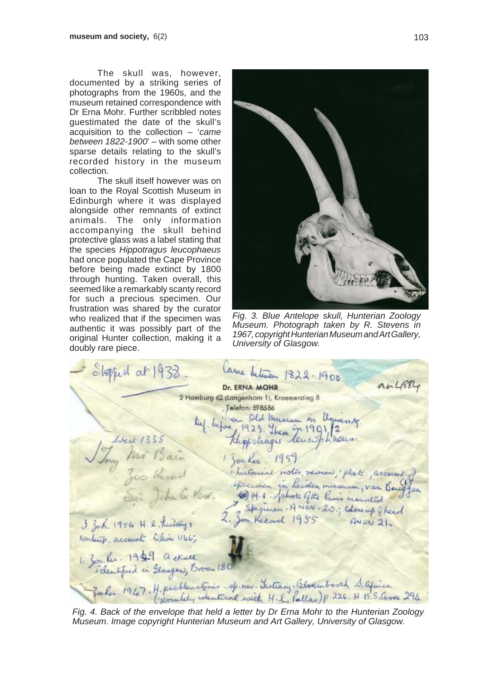The skull was, however, documented by a striking series of photographs from the 1960s, and the museum retained correspondence with Dr Erna Mohr. Further scribbled notes guestimated the date of the skull's acquisition to the collection – '*came between 1822-1900*' – with some other sparse details relating to the skull's recorded history in the museum collection.

The skull itself however was on loan to the Royal Scottish Museum in Edinburgh where it was displayed alongside other remnants of extinct animals. The only information accompanying the skull behind protective glass was a label stating that the species *Hippotragus leucophaeus* had once populated the Cape Province before being made extinct by 1800 through hunting. Taken overall, this seemed like a remarkably scanty record for such a precious specimen. Our frustration was shared by the curator who realized that if the specimen was authentic it was possibly part of the original Hunter collection, making it a doubly rare piece.



*Fig. 3. Blue Antelope skull, Hunterian Zoology Museum. Photograph taken by R. Stevens in 1967, copyright Hunterian Museum and Art Gallery, University of Glasgow.*

Slopped at 1938 Lame between 1322-1900.  $a.4884$ Dr. ERNA MOHR 2 Hamburg 62 (Langenhorn 1), Kraemerstieg 8 Jug Mr Bain 1907. High the Communication of the Community.<br>1907 Mr Bain 1908. High thought and the Community.<br>1907 Mr Bain 1908. Lee 1959<br>1908 March 1958 1908. Huitoniae motor reviews photo. account<br>1955 1908. He thinks 19 Telefon: 598586 contents accounts Oliver 1166; 4. 300 fec. 1949 a skull Zooker 1947. H. perblematicies. sp. new. Lesting. Blockwood S. africa.<br>Zooker 1947. H. persidely wentical with H.L. Pallas) p. 226. H. B. S. Cooke 294.

*Fig. 4. Back of the envelope that held a letter by Dr Erna Mohr to the Hunterian Zoology Museum. Image copyright Hunterian Museum and Art Gallery, University of Glasgow.*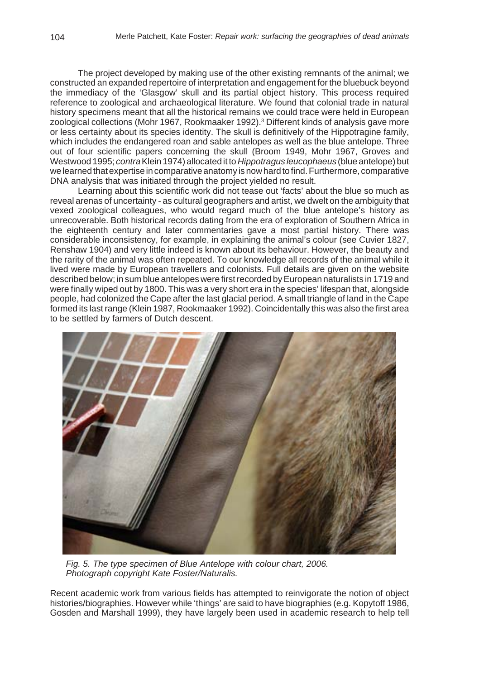The project developed by making use of the other existing remnants of the animal; we constructed an expanded repertoire of interpretation and engagement for the bluebuck beyond the immediacy of the 'Glasgow' skull and its partial object history. This process required reference to zoological and archaeological literature. We found that colonial trade in natural history specimens meant that all the historical remains we could trace were held in European zoological collections (Mohr 1967, Rookmaaker 1992).<sup>3</sup> Different kinds of analysis gave more or less certainty about its species identity. The skull is definitively of the Hippotragine family, which includes the endangered roan and sable antelopes as well as the blue antelope. Three out of four scientific papers concerning the skull (Broom 1949, Mohr 1967, Groves and Westwood 1995; *contra* Klein 1974) allocated it to *Hippotragus leucophaeus* (blue antelope) but we learned that expertise in comparative anatomy is now hard to find. Furthermore, comparative DNA analysis that was initiated through the project yielded no result.

Learning about this scientific work did not tease out 'facts' about the blue so much as reveal arenas of uncertainty - as cultural geographers and artist, we dwelt on the ambiguity that vexed zoological colleagues, who would regard much of the blue antelope's history as unrecoverable. Both historical records dating from the era of exploration of Southern Africa in the eighteenth century and later commentaries gave a most partial history. There was considerable inconsistency, for example, in explaining the animal's colour (see Cuvier 1827, Renshaw 1904) and very little indeed is known about its behaviour. However, the beauty and the rarity of the animal was often repeated. To our knowledge all records of the animal while it lived were made by European travellers and colonists. Full details are given on the website described below; in sum blue antelopes were first recorded by European naturalists in 1719 and were finally wiped out by 1800. This was a very short era in the species' lifespan that, alongside people, had colonized the Cape after the last glacial period. A small triangle of land in the Cape formed its last range (Klein 1987, Rookmaaker 1992). Coincidentally this was also the first area to be settled by farmers of Dutch descent.



*Fig. 5. The type specimen of Blue Antelope with colour chart, 2006. Photograph copyright Kate Foster/Naturalis.*

Recent academic work from various fields has attempted to reinvigorate the notion of object histories/biographies. However while 'things' are said to have biographies (e.g. Kopytoff 1986, Gosden and Marshall 1999), they have largely been used in academic research to help tell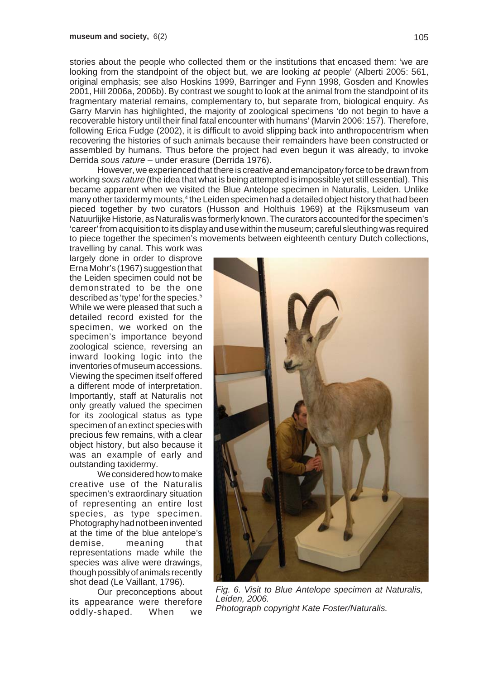stories about the people who collected them or the institutions that encased them: 'we are looking from the standpoint of the object but, we are looking *at* people' (Alberti 2005: 561, original emphasis; see also Hoskins 1999, Barringer and Fynn 1998, Gosden and Knowles 2001, Hill 2006a, 2006b). By contrast we sought to look at the animal from the standpoint of its fragmentary material remains, complementary to, but separate from, biological enquiry. As Garry Marvin has highlighted, the majority of zoological specimens 'do not begin to have a recoverable history until their final fatal encounter with humans' (Marvin 2006: 157). Therefore, following Erica Fudge (2002), it is difficult to avoid slipping back into anthropocentrism when recovering the histories of such animals because their remainders have been constructed or assembled by humans. Thus before the project had even begun it was already, to invoke Derrida *sous rature* – under erasure (Derrida 1976).

However, we experienced that there is creative and emancipatory force to be drawn from working *sous rature* (the idea that what is being attempted is impossible yet still essential). This became apparent when we visited the Blue Antelope specimen in Naturalis, Leiden. Unlike many other taxidermy mounts,<sup>4</sup> the Leiden specimen had a detailed object history that had been pieced together by two curators (Husson and Holthuis 1969) at the Rijksmuseum van Natuurlijke Historie, as Naturalis was formerly known. The curators accounted for the specimen's 'career' from acquisition to its display and use within the museum; careful sleuthing was required to piece together the specimen's movements between eighteenth century Dutch collections,

travelling by canal. This work was largely done in order to disprove Erna Mohr's (1967) suggestion that the Leiden specimen could not be demonstrated to be the one described as 'type' for the species.<sup>5</sup> While we were pleased that such a detailed record existed for the specimen, we worked on the specimen's importance beyond zoological science, reversing an inward looking logic into the inventories of museum accessions. Viewing the specimen itself offered a different mode of interpretation. Importantly, staff at Naturalis not only greatly valued the specimen for its zoological status as type specimen of an extinct species with precious few remains, with a clear object history, but also because it was an example of early and outstanding taxidermy.

We considered how to make creative use of the Naturalis specimen's extraordinary situation of representing an entire lost species, as type specimen. Photography had not been invented at the time of the blue antelope's demise, meaning that representations made while the species was alive were drawings, though possibly of animals recently shot dead (Le Vaillant, 1796).

Our preconceptions about its appearance were therefore oddly-shaped. When we



*Fig. 6. Visit to Blue Antelope specimen at Naturalis, Leiden, 2006. Photograph copyright Kate Foster/Naturalis.*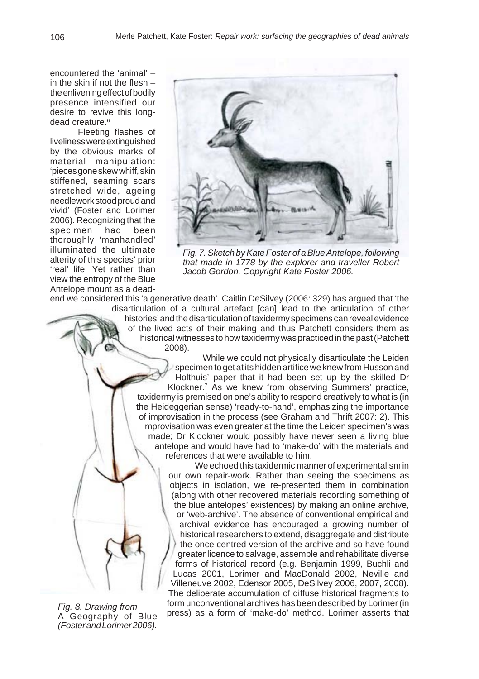encountered the 'animal' – in the skin if not the flesh – the enlivening effect of bodily presence intensified our desire to revive this longdead creature.<sup>6</sup>

Fleeting flashes of liveliness were extinguished by the obvious marks of material manipulation: 'pieces gone skew whiff, skin stiffened, seaming scars stretched wide, ageing needlework stood proud and vivid' (Foster and Lorimer 2006). Recognizing that the specimen had been thoroughly 'manhandled' illuminated the ultimate alterity of this species' prior 'real' life. Yet rather than view the entropy of the Blue Antelope mount as a dead-



*Fig. 7. Sketch by Kate Foster of a Blue Antelope, following that made in 1778 by the explorer and traveller Robert Jacob Gordon. Copyright Kate Foster 2006.*

end we considered this 'a generative death'. Caitlin DeSilvey (2006: 329) has argued that 'the disarticulation of a cultural artefact [can] lead to the articulation of other histories' and the disarticulation of taxidermy specimens can reveal evidence of the lived acts of their making and thus Patchett considers them as historical witnesses to how taxidermy was practiced in the past (Patchett 2008).

> While we could not physically disarticulate the Leiden specimen to get at its hidden artifice we knew from Husson and Holthuis' paper that it had been set up by the skilled Dr Klockner.7 As we knew from observing Summers' practice, taxidermy is premised on one's ability to respond creatively to what is (in the Heideggerian sense) 'ready-to-hand', emphasizing the importance of improvisation in the process (see Graham and Thrift 2007: 2). This improvisation was even greater at the time the Leiden specimen's was made; Dr Klockner would possibly have never seen a living blue antelope and would have had to 'make-do' with the materials and references that were available to him.

We echoed this taxidermic manner of experimentalism in our own repair-work. Rather than seeing the specimens as objects in isolation, we re-presented them in combination (along with other recovered materials recording something of the blue antelopes' existences) by making an online archive, or 'web-archive'. The absence of conventional empirical and archival evidence has encouraged a growing number of historical researchers to extend, disaggregate and distribute the once centred version of the archive and so have found greater licence to salvage, assemble and rehabilitate diverse forms of historical record (e.g. Benjamin 1999, Buchli and Lucas 2001, Lorimer and MacDonald 2002, Neville and Villeneuve 2002, Edensor 2005, DeSilvey 2006, 2007, 2008). The deliberate accumulation of diffuse historical fragments to form unconventional archives has been described by Lorimer (in press) as a form of 'make-do' method. Lorimer asserts that

*Fig. 8. Drawing from* A Geography of Blue *(Foster and Lorimer 2006).*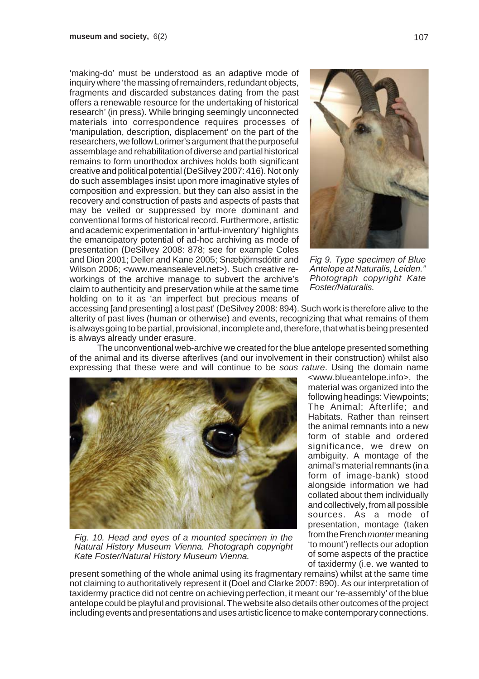'making-do' must be understood as an adaptive mode of inquiry where 'the massing of remainders, redundant objects, fragments and discarded substances dating from the past offers a renewable resource for the undertaking of historical research' (in press). While bringing seemingly unconnected materials into correspondence requires processes of 'manipulation, description, displacement' on the part of the researchers, we follow Lorimer's argument that the purposeful assemblage and rehabilitation of diverse and partial historical remains to form unorthodox archives holds both significant creative and political potential (DeSilvey 2007: 416). Not only do such assemblages insist upon more imaginative styles of composition and expression, but they can also assist in the recovery and construction of pasts and aspects of pasts that may be veiled or suppressed by more dominant and conventional forms of historical record. Furthermore, artistic and academic experimentation in 'artful-inventory' highlights the emancipatory potential of ad-hoc archiving as mode of presentation (DeSilvey 2008: 878; see for example Coles and Dion 2001; Deller and Kane 2005; Snæbjörnsdóttir and Wilson 2006; <www.meansealevel.net>). Such creative reworkings of the archive manage to subvert the archive's claim to authenticity and preservation while at the same time holding on to it as 'an imperfect but precious means of



*Fig 9. Type specimen of Blue Antelope at Naturalis, Leiden." Photograph copyright Kate Foster/Naturalis.*

accessing [and presenting] a lost past' (DeSilvey 2008: 894). Such work is therefore alive to the alterity of past lives (human or otherwise) and events, recognizing that what remains of them is always going to be partial, provisional, incomplete and, therefore, that what is being presented is always already under erasure.

The unconventional web-archive we created for the blue antelope presented something of the animal and its diverse afterlives (and our involvement in their construction) whilst also expressing that these were and will continue to be *sous rature*. Using the domain name



*Fig. 10. Head and eyes of a mounted specimen in the Natural History Museum Vienna. Photograph copyright Kate Foster/Natural History Museum Vienna.*

<www.blueantelope.info>, the material was organized into the following headings: Viewpoints; The Animal; Afterlife; and Habitats. Rather than reinsert the animal remnants into a new form of stable and ordered significance, we drew on ambiguity. A montage of the animal's material remnants (in a form of image-bank) stood alongside information we had collated about them individually and collectively, from all possible sources. As a mode of presentation, montage (taken from the French *monter* meaning 'to mount') reflects our adoption of some aspects of the practice of taxidermy (i.e. we wanted to

present something of the whole animal using its fragmentary remains) whilst at the same time not claiming to authoritatively represent it (Doel and Clarke 2007: 890). As our interpretation of taxidermy practice did not centre on achieving perfection, it meant our 're-assembly' of the blue antelope could be playful and provisional. The website also details other outcomes of the project including events and presentations and uses artistic licence to make contemporary connections.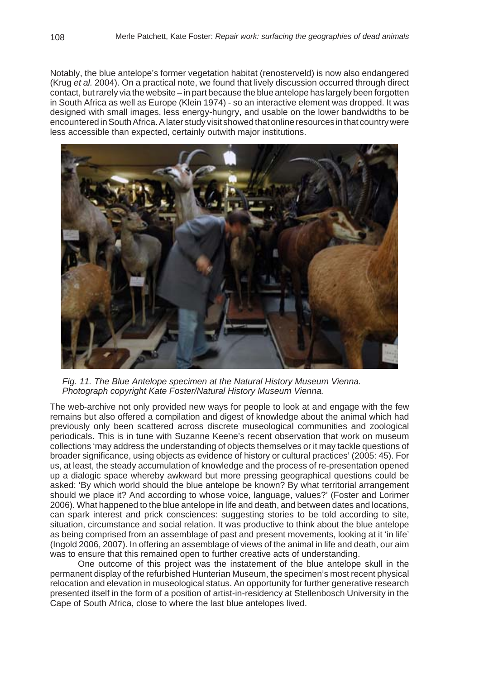Notably, the blue antelope's former vegetation habitat (renosterveld) is now also endangered (Krug *et al.* 2004). On a practical note, we found that lively discussion occurred through direct contact, but rarely via the website – in part because the blue antelope has largely been forgotten in South Africa as well as Europe (Klein 1974) - so an interactive element was dropped. It was designed with small images, less energy-hungry, and usable on the lower bandwidths to be encountered in South Africa. A later study visit showed that online resources in that country were less accessible than expected, certainly outwith major institutions.



*Fig. 11. The Blue Antelope specimen at the Natural History Museum Vienna. Photograph copyright Kate Foster/Natural History Museum Vienna.*

The web-archive not only provided new ways for people to look at and engage with the few remains but also offered a compilation and digest of knowledge about the animal which had previously only been scattered across discrete museological communities and zoological periodicals. This is in tune with Suzanne Keene's recent observation that work on museum collections 'may address the understanding of objects themselves or it may tackle questions of broader significance, using objects as evidence of history or cultural practices' (2005: 45). For us, at least, the steady accumulation of knowledge and the process of re-presentation opened up a dialogic space whereby awkward but more pressing geographical questions could be asked: 'By which world should the blue antelope be known? By what territorial arrangement should we place it? And according to whose voice, language, values?' (Foster and Lorimer 2006). What happened to the blue antelope in life and death, and between dates and locations, can spark interest and prick consciences: suggesting stories to be told according to site, situation, circumstance and social relation. It was productive to think about the blue antelope as being comprised from an assemblage of past and present movements, looking at it 'in life' (Ingold 2006, 2007). In offering an assemblage of views of the animal in life and death, our aim was to ensure that this remained open to further creative acts of understanding.

One outcome of this project was the instatement of the blue antelope skull in the permanent display of the refurbished Hunterian Museum, the specimen's most recent physical relocation and elevation in museological status. An opportunity for further generative research presented itself in the form of a position of artist-in-residency at Stellenbosch University in the Cape of South Africa, close to where the last blue antelopes lived.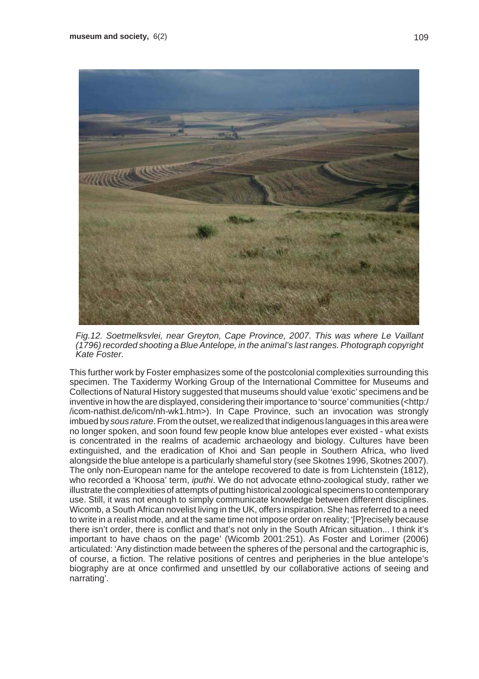

*Fig.12. Soetmelksvlei, near Greyton, Cape Province, 2007. This was where Le Vaillant (1796) recorded shooting a Blue Antelope, in the animal's last ranges. Photograph copyright Kate Foster.*

This further work by Foster emphasizes some of the postcolonial complexities surrounding this specimen. The Taxidermy Working Group of the International Committee for Museums and Collections of Natural History suggested that museums should value 'exotic' specimens and be inventive in how the are displayed, considering their importance to 'source' communities (<http:/ /icom-nathist.de/icom/nh-wk1.htm>). In Cape Province, such an invocation was strongly imbued by *sous rature*. From the outset, we realized that indigenous languages in this area were no longer spoken, and soon found few people know blue antelopes ever existed - what exists is concentrated in the realms of academic archaeology and biology. Cultures have been extinguished, and the eradication of Khoi and San people in Southern Africa, who lived alongside the blue antelope is a particularly shameful story (see Skotnes 1996, Skotnes 2007). The only non-European name for the antelope recovered to date is from Lichtenstein (1812), who recorded a 'Khoosa' term, *iputhi*. We do not advocate ethno-zoological study, rather we illustrate the complexities of attempts of putting historical zoological specimens to contemporary use. Still, it was not enough to simply communicate knowledge between different disciplines. Wicomb, a South African novelist living in the UK, offers inspiration. She has referred to a need to write in a realist mode, and at the same time not impose order on reality; '[P]recisely because there isn't order, there is conflict and that's not only in the South African situation... I think it's important to have chaos on the page' (Wicomb 2001:251). As Foster and Lorimer (2006) articulated: 'Any distinction made between the spheres of the personal and the cartographic is, of course, a fiction. The relative positions of centres and peripheries in the blue antelope's biography are at once confirmed and unsettled by our collaborative actions of seeing and narrating'.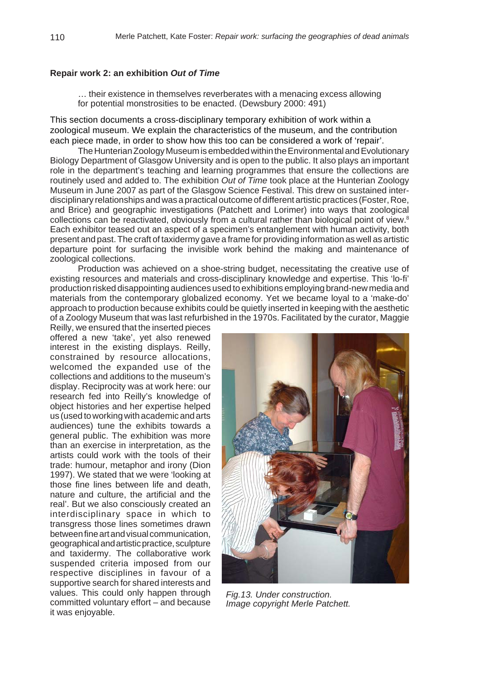### **Repair work 2: an exhibition** *Out of Time*

… their existence in themselves reverberates with a menacing excess allowing for potential monstrosities to be enacted. (Dewsbury 2000: 491)

This section documents a cross-disciplinary temporary exhibition of work within a zoological museum. We explain the characteristics of the museum, and the contribution each piece made, in order to show how this too can be considered a work of 'repair'.

The Hunterian Zoology Museum is embedded within the Environmental and Evolutionary Biology Department of Glasgow University and is open to the public. It also plays an important role in the department's teaching and learning programmes that ensure the collections are routinely used and added to. The exhibition *Out of Time* took place at the Hunterian Zoology Museum in June 2007 as part of the Glasgow Science Festival. This drew on sustained interdisciplinary relationships and was a practical outcome of different artistic practices (Foster, Roe, and Brice) and geographic investigations (Patchett and Lorimer) into ways that zoological collections can be reactivated, obviously from a cultural rather than biological point of view.<sup>8</sup> Each exhibitor teased out an aspect of a specimen's entanglement with human activity, both present and past. The craft of taxidermy gave a frame for providing information as well as artistic departure point for surfacing the invisible work behind the making and maintenance of zoological collections.

Production was achieved on a shoe-string budget, necessitating the creative use of existing resources and materials and cross-disciplinary knowledge and expertise. This 'lo-fi' production risked disappointing audiences used to exhibitions employing brand-new media and materials from the contemporary globalized economy. Yet we became loyal to a 'make-do' approach to production because exhibits could be quietly inserted in keeping with the aesthetic of a Zoology Museum that was last refurbished in the 1970s. Facilitated by the curator, Maggie

Reilly, we ensured that the inserted pieces offered a new 'take', yet also renewed interest in the existing displays. Reilly, constrained by resource allocations, welcomed the expanded use of the collections and additions to the museum's display. Reciprocity was at work here: our research fed into Reilly's knowledge of object histories and her expertise helped us (used to working with academic and arts audiences) tune the exhibits towards a general public. The exhibition was more than an exercise in interpretation, as the artists could work with the tools of their trade: humour, metaphor and irony (Dion 1997). We stated that we were 'looking at those fine lines between life and death, nature and culture, the artificial and the real'. But we also consciously created an interdisciplinary space in which to transgress those lines sometimes drawn between fine art and visual communication, geographical and artistic practice, sculpture and taxidermy. The collaborative work suspended criteria imposed from our respective disciplines in favour of a supportive search for shared interests and values. This could only happen through committed voluntary effort – and because it was enjoyable.



*Fig.13. Under construction. Image copyright Merle Patchett.*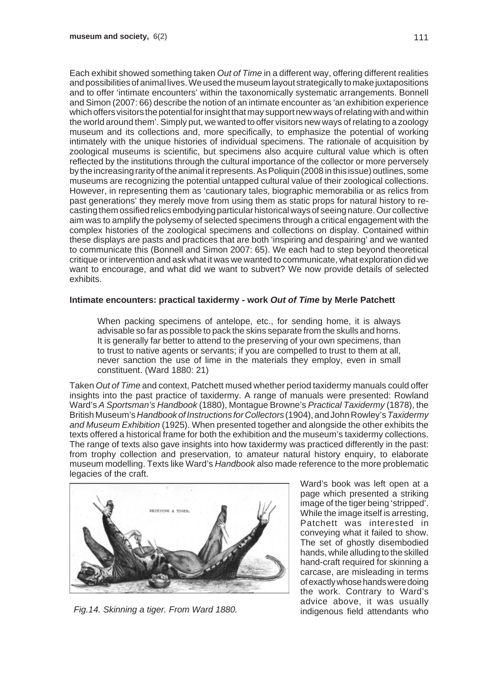Each exhibit showed something taken *Out of Time* in a different way, offering different realities and possibilities of animal lives. We used the museum layout strategically to make juxtapositions and to offer 'intimate encounters' within the taxonomically systematic arrangements. Bonnell and Simon (2007: 66) describe the notion of an intimate encounter as 'an exhibition experience which offers visitors the potential for insight that may support new ways of relating with and within the world around them'. Simply put, we wanted to offer visitors new ways of relating to a zoology museum and its collections and, more specifically, to emphasize the potential of working intimately with the unique histories of individual specimens. The rationale of acquisition by zoological museums is scientific, but specimens also acquire cultural value which is often reflected by the institutions through the cultural importance of the collector or more perversely by the increasing rarity of the animal it represents. As Poliquin (2008 in this issue) outlines, some museums are recognizing the potential untapped cultural value of their zoological collections. However, in representing them as 'cautionary tales, biographic memorabilia or as relics from past generations' they merely move from using them as static props for natural history to recasting them ossified relics embodying particular historical ways of seeing nature. Our collective aim was to amplify the polysemy of selected specimens through a critical engagement with the complex histories of the zoological specimens and collections on display. Contained within these displays are pasts and practices that are both 'inspiring and despairing' and we wanted to communicate this (Bonnell and Simon 2007: 65). We each had to step beyond theoretical critique or intervention and ask what it was we wanted to communicate, what exploration did we want to encourage, and what did we want to subvert? We now provide details of selected exhibits.

## **Intimate encounters: practical taxidermy - work** *Out of Time* **by Merle Patchett**

When packing specimens of antelope, etc., for sending home, it is always advisable so far as possible to pack the skins separate from the skulls and horns. It is generally far better to attend to the preserving of your own specimens, than to trust to native agents or servants; if you are compelled to trust to them at all, never sanction the use of lime in the materials they employ, even in small constituent. (Ward 1880: 21)

Taken *Out of Time* and context, Patchett mused whether period taxidermy manuals could offer insights into the past practice of taxidermy. A range of manuals were presented: Rowland Ward's *A Sportsman's Handbook* (1880), Montague Browne's *Practical Taxidermy* (1878), the British Museum's *Handbook of Instructions for Collectors* (1904), and John Rowley's *Taxidermy and Museum Exhibition* (1925). When presented together and alongside the other exhibits the texts offered a historical frame for both the exhibition and the museum's taxidermy collections. The range of texts also gave insights into how taxidermy was practiced differently in the past: from trophy collection and preservation, to amateur natural history enquiry, to elaborate museum modelling. Texts like Ward's *Handbook* also made reference to the more problematic legacies of the craft.



Ward's book was left open at a page which presented a striking image of the tiger being 'stripped'. While the image itself is arresting, Patchett was interested in conveying what it failed to show. The set of ghostly disembodied hands, while alluding to the skilled hand-craft required for skinning a carcase, are misleading in terms of exactly whose hands were doing the work. Contrary to Ward's advice above, it was usually *Fig.14. Skinning a tiger. From Ward 1880.* indigenous field attendants who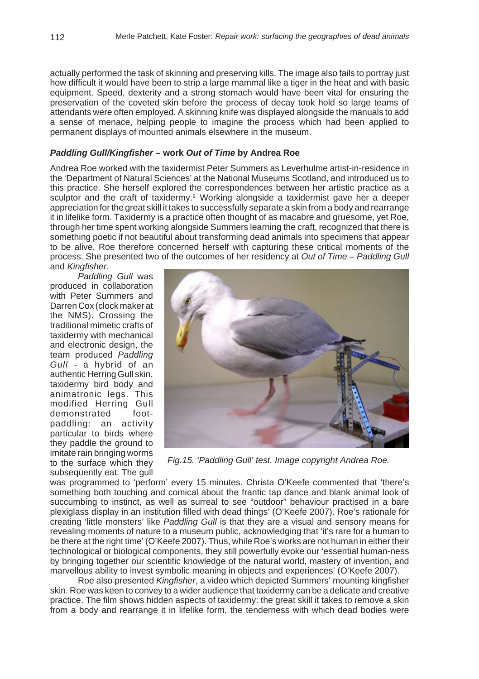actually performed the task of skinning and preserving kills. The image also fails to portray just how difficult it would have been to strip a large mammal like a tiger in the heat and with basic equipment. Speed, dexterity and a strong stomach would have been vital for ensuring the preservation of the coveted skin before the process of decay took hold so large teams of attendants were often employed. A skinning knife was displayed alongside the manuals to add a sense of menace, helping people to imagine the process which had been applied to permanent displays of mounted animals elsewhere in the museum.

#### *Paddling Gull/Kingfisher* **– work** *Out of Time* **by Andrea Roe**

Andrea Roe worked with the taxidermist Peter Summers as Leverhulme artist-in-residence in the 'Department of Natural Sciences' at the National Museums Scotland, and introduced us to this practice. She herself explored the correspondences between her artistic practice as a sculptor and the craft of taxidermy.<sup>9</sup> Working alongside a taxidermist gave her a deeper appreciation for the great skill it takes to successfully separate a skin from a body and rearrange it in lifelike form. Taxidermy is a practice often thought of as macabre and gruesome, yet Roe, through her time spent working alongside Summers learning the craft, recognized that there is something poetic if not beautiful about transforming dead animals into specimens that appear to be alive. Roe therefore concerned herself with capturing these critical moments of the process. She presented two of the outcomes of her residency at *Out of Time* – *Paddling Gull* and *Kingfisher*.

*Paddling Gull* was produced in collaboration with Peter Summers and Darren Cox (clock maker at the NMS). Crossing the traditional mimetic crafts of taxidermy with mechanical and electronic design, the team produced *Paddling Gull* - a hybrid of an authentic Herring Gull skin, taxidermy bird body and animatronic legs. This modified Herring Gull demonstrated footpaddling: an activity particular to birds where they paddle the ground to imitate rain bringing worms to the surface which they subsequently eat. The gull



*Fig.15. 'Paddling Gull' test. Image copyright Andrea Roe.*

was programmed to 'perform' every 15 minutes. Christa O'Keefe commented that 'there's something both touching and comical about the frantic tap dance and blank animal look of succumbing to instinct, as well as surreal to see "outdoor" behaviour practised in a bare plexiglass display in an institution filled with dead things' (O'Keefe 2007). Roe's rationale for creating 'little monsters' like *Paddling Gull* is that they are a visual and sensory means for revealing moments of nature to a museum public, acknowledging that 'it's rare for a human to be there at the right time' (O'Keefe 2007). Thus, while Roe's works are not human in either their technological or biological components, they still powerfully evoke our 'essential human-ness by bringing together our scientific knowledge of the natural world, mastery of invention, and marvellous ability to invest symbolic meaning in objects and experiences' (O'Keefe 2007).

Roe also presented *Kingfisher*, a video which depicted Summers' mounting kingfisher skin. Roe was keen to convey to a wider audience that taxidermy can be a delicate and creative practice. The film shows hidden aspects of taxidermy: the great skill it takes to remove a skin from a body and rearrange it in lifelike form, the tenderness with which dead bodies were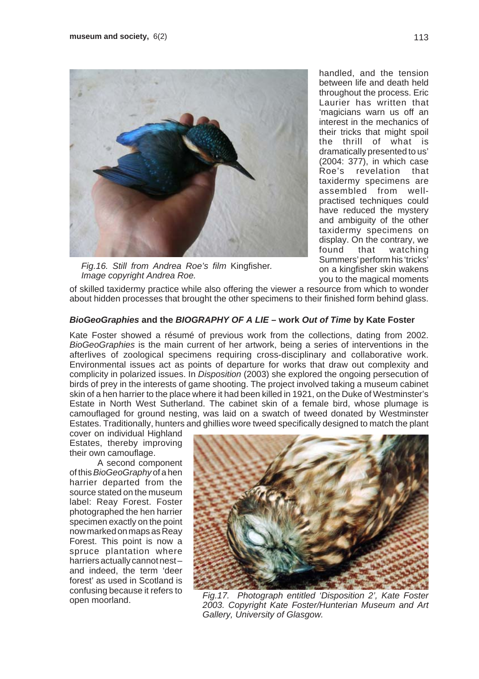

*Fig.16. Still from Andrea Roe's film* Kingfisher*. Image copyright Andrea Roe.*

handled, and the tension between life and death held throughout the process. Eric Laurier has written that 'magicians warn us off an interest in the mechanics of their tricks that might spoil the thrill of what is dramatically presented to us' (2004: 377), in which case Roe's revelation that taxidermy specimens are assembled from wellpractised techniques could have reduced the mystery and ambiguity of the other taxidermy specimens on display. On the contrary, we found that watching Summers' perform his 'tricks' on a kingfisher skin wakens you to the magical moments

of skilled taxidermy practice while also offering the viewer a resource from which to wonder about hidden processes that brought the other specimens to their finished form behind glass.

## *BioGeoGraphies* **and the** *BIOGRAPHY OF A LIE* **– work** *Out of Time* **by Kate Foster**

Kate Foster showed a résumé of previous work from the collections, dating from 2002. *BioGeoGraphies* is the main current of her artwork, being a series of interventions in the afterlives of zoological specimens requiring cross-disciplinary and collaborative work. Environmental issues act as points of departure for works that draw out complexity and complicity in polarized issues. In *Disposition* (2003) she explored the ongoing persecution of birds of prey in the interests of game shooting. The project involved taking a museum cabinet skin of a hen harrier to the place where it had been killed in 1921, on the Duke of Westminster's Estate in North West Sutherland. The cabinet skin of a female bird, whose plumage is camouflaged for ground nesting, was laid on a swatch of tweed donated by Westminster Estates. Traditionally, hunters and ghillies wore tweed specifically designed to match the plant

cover on individual Highland Estates, thereby improving their own camouflage.

A second component of this *BioGeoGraphy* of a hen harrier departed from the source stated on the museum label: Reay Forest. Foster photographed the hen harrier specimen exactly on the point now marked on maps as Reay Forest. This point is now a spruce plantation where harriers actually cannot nestand indeed, the term 'deer forest' as used in Scotland is confusing because it refers to open moorland.



*Fig.17. Photograph entitled 'Disposition 2', Kate Foster 2003. Copyright Kate Foster/Hunterian Museum and Art Gallery, University of Glasgow.*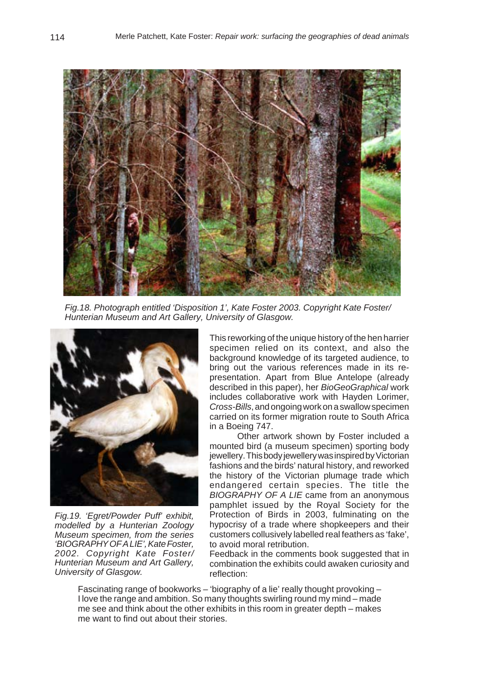

*Fig.18. Photograph entitled 'Disposition 1', Kate Foster 2003. Copyright Kate Foster/ Hunterian Museum and Art Gallery, University of Glasgow.*



*Fig.19. 'Egret/Powder Puff' exhibit, modelled by a Hunterian Zoology Museum specimen, from the series 'BIOGRAPHY OF A LIE', Kate Foster, 2002. Copyright Kate Foster/ Hunterian Museum and Art Gallery, University of Glasgow.*

This reworking of the unique history of the hen harrier specimen relied on its context, and also the background knowledge of its targeted audience, to bring out the various references made in its representation. Apart from Blue Antelope (already described in this paper), her *BioGeoGraphical* work includes collaborative work with Hayden Lorimer, *Cross-Bills*, and ongoing work on a swallow specimen carried on its former migration route to South Africa in a Boeing 747.

Other artwork shown by Foster included a mounted bird (a museum specimen) sporting body jewellery. This body jewellery was inspired by Victorian fashions and the birds' natural history, and reworked the history of the Victorian plumage trade which endangered certain species. The title the *BIOGRAPHY OF A LIE* came from an anonymous pamphlet issued by the Royal Society for the Protection of Birds in 2003, fulminating on the hypocrisy of a trade where shopkeepers and their customers collusively labelled real feathers as 'fake', to avoid moral retribution.

Feedback in the comments book suggested that in combination the exhibits could awaken curiosity and reflection:

Fascinating range of bookworks – 'biography of a lie' really thought provoking – I love the range and ambition. So many thoughts swirling round my mind – made me see and think about the other exhibits in this room in greater depth – makes me want to find out about their stories.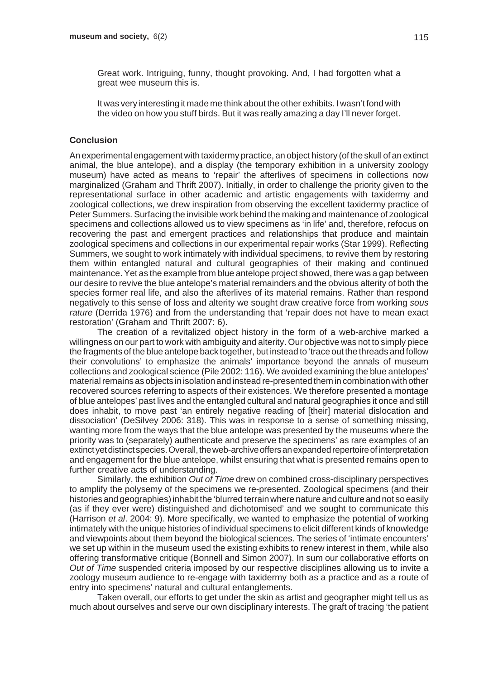Great work. Intriguing, funny, thought provoking. And, I had forgotten what a great wee museum this is.

It was very interesting it made me think about the other exhibits. I wasn't fond with the video on how you stuff birds. But it was really amazing a day I'll never forget.

#### **Conclusion**

An experimental engagement with taxidermy practice, an object history (of the skull of an extinct animal, the blue antelope), and a display (the temporary exhibition in a university zoology museum) have acted as means to 'repair' the afterlives of specimens in collections now marginalized (Graham and Thrift 2007). Initially, in order to challenge the priority given to the representational surface in other academic and artistic engagements with taxidermy and zoological collections, we drew inspiration from observing the excellent taxidermy practice of Peter Summers. Surfacing the invisible work behind the making and maintenance of zoological specimens and collections allowed us to view specimens as 'in life' and, therefore, refocus on recovering the past and emergent practices and relationships that produce and maintain zoological specimens and collections in our experimental repair works (Star 1999). Reflecting Summers, we sought to work intimately with individual specimens, to revive them by restoring them within entangled natural and cultural geographies of their making and continued maintenance. Yet as the example from blue antelope project showed, there was a gap between our desire to revive the blue antelope's material remainders and the obvious alterity of both the species former real life, and also the afterlives of its material remains. Rather than respond negatively to this sense of loss and alterity we sought draw creative force from working *sous rature* (Derrida 1976) and from the understanding that 'repair does not have to mean exact restoration' (Graham and Thrift 2007: 6).

The creation of a revitalized object history in the form of a web-archive marked a willingness on our part to work with ambiguity and alterity. Our objective was not to simply piece the fragments of the blue antelope back together, but instead to 'trace out the threads and follow their convolutions' to emphasize the animals' importance beyond the annals of museum collections and zoological science (Pile 2002: 116). We avoided examining the blue antelopes' material remains as objects in isolation and instead re-presented them in combination with other recovered sources referring to aspects of their existences. We therefore presented a montage of blue antelopes' past lives and the entangled cultural and natural geographies it once and still does inhabit, to move past 'an entirely negative reading of [their] material dislocation and dissociation' (DeSilvey 2006: 318). This was in response to a sense of something missing, wanting more from the ways that the blue antelope was presented by the museums where the priority was to (separately) authenticate and preserve the specimens' as rare examples of an extinct yet distinct species. Overall, the web-archive offers an expanded repertoire of interpretation and engagement for the blue antelope, whilst ensuring that what is presented remains open to further creative acts of understanding.

Similarly, the exhibition *Out of Time* drew on combined cross-disciplinary perspectives to amplify the polysemy of the specimens we re-presented. Zoological specimens (and their histories and geographies) inhabit the 'blurred terrain where nature and culture and not so easily (as if they ever were) distinguished and dichotomised' and we sought to communicate this (Harrison *et al*. 2004: 9). More specifically, we wanted to emphasize the potential of working intimately with the unique histories of individual specimens to elicit different kinds of knowledge and viewpoints about them beyond the biological sciences. The series of 'intimate encounters' we set up within in the museum used the existing exhibits to renew interest in them, while also offering transformative critique (Bonnell and Simon 2007). In sum our collaborative efforts on *Out of Time* suspended criteria imposed by our respective disciplines allowing us to invite a zoology museum audience to re-engage with taxidermy both as a practice and as a route of entry into specimens' natural and cultural entanglements.

Taken overall, our efforts to get under the skin as artist and geographer might tell us as much about ourselves and serve our own disciplinary interests. The graft of tracing 'the patient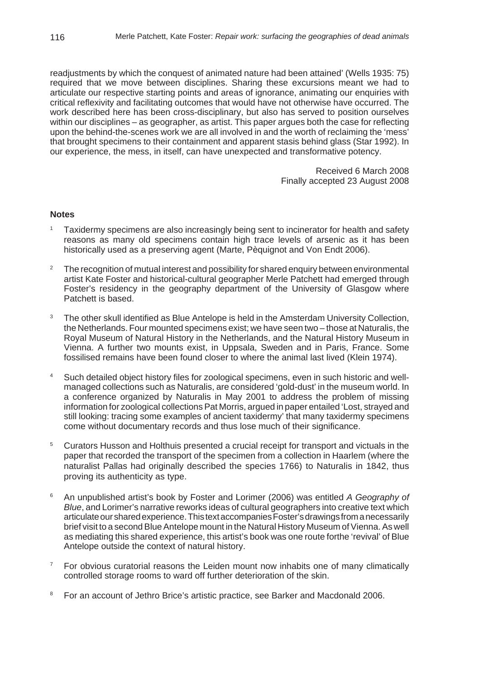readjustments by which the conquest of animated nature had been attained' (Wells 1935: 75) required that we move between disciplines. Sharing these excursions meant we had to articulate our respective starting points and areas of ignorance, animating our enquiries with critical reflexivity and facilitating outcomes that would have not otherwise have occurred. The work described here has been cross-disciplinary, but also has served to position ourselves within our disciplines – as geographer, as artist. This paper argues both the case for reflecting upon the behind-the-scenes work we are all involved in and the worth of reclaiming the 'mess' that brought specimens to their containment and apparent stasis behind glass (Star 1992). In our experience, the mess, in itself, can have unexpected and transformative potency.

> Received 6 March 2008 Finally accepted 23 August 2008

## **Notes**

- <sup>1</sup> Taxidermy specimens are also increasingly being sent to incinerator for health and safety reasons as many old specimens contain high trace levels of arsenic as it has been historically used as a preserving agent (Marte, Pèquignot and Von Endt 2006).
- <sup>2</sup> The recognition of mutual interest and possibility for shared enquiry between environmental artist Kate Foster and historical-cultural geographer Merle Patchett had emerged through Foster's residency in the geography department of the University of Glasgow where Patchett is based.
- <sup>3</sup> The other skull identified as Blue Antelope is held in the Amsterdam University Collection, the Netherlands. Four mounted specimens exist; we have seen two – those at Naturalis, the Royal Museum of Natural History in the Netherlands, and the Natural History Museum in Vienna. A further two mounts exist, in Uppsala, Sweden and in Paris, France. Some fossilised remains have been found closer to where the animal last lived (Klein 1974).
- Such detailed object history files for zoological specimens, even in such historic and wellmanaged collections such as Naturalis, are considered 'gold-dust' in the museum world. In a conference organized by Naturalis in May 2001 to address the problem of missing information for zoological collections Pat Morris, argued in paper entailed 'Lost, strayed and still looking: tracing some examples of ancient taxidermy' that many taxidermy specimens come without documentary records and thus lose much of their significance.
- <sup>5</sup> Curators Husson and Holthuis presented a crucial receipt for transport and victuals in the paper that recorded the transport of the specimen from a collection in Haarlem (where the naturalist Pallas had originally described the species 1766) to Naturalis in 1842, thus proving its authenticity as type.
- <sup>6</sup> An unpublished artist's book by Foster and Lorimer (2006) was entitled *A Geography of Blue*, and Lorimer's narrative reworks ideas of cultural geographers into creative text which articulate our shared experience. This text accompanies Foster's drawings from a necessarily brief visit to a second Blue Antelope mount in the Natural History Museum of Vienna. As well as mediating this shared experience, this artist's book was one route forthe 'revival' of Blue Antelope outside the context of natural history.
- For obvious curatorial reasons the Leiden mount now inhabits one of many climatically controlled storage rooms to ward off further deterioration of the skin.
- <sup>8</sup> For an account of Jethro Brice's artistic practice, see Barker and Macdonald 2006.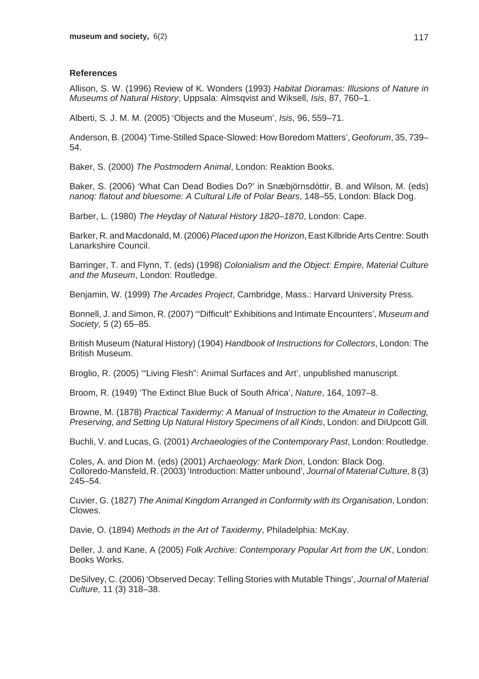## **References**

Allison, S. W. (1996) Review of K. Wonders (1993) *Habitat Dioramas: Illusions of Nature in Museums of Natural History*, Uppsala: Almsqvist and Wiksell, *Isis*, 87, 760–1.

Alberti, S. J. M. M. (2005) 'Objects and the Museum', *Isis*, 96, 559–71.

Anderson, B. (2004) 'Time-Stilled Space-Slowed: How Boredom Matters', *Geoforum*, 35, 739– 54.

Baker, S. (2000) *The Postmodern Animal*, London: Reaktion Books.

Baker, S. (2006) 'What Can Dead Bodies Do?' in Snæbjörnsdóttir, B. and Wilson, M. (eds) *nanoq: flatout and bluesome: A Cultural Life of Polar Bears*, 148–55, London: Black Dog.

Barber, L. (1980) *The Heyday of Natural History 1820–1870*, London: Cape.

Barker, R. and Macdonald, M. (2006) *Placed upon the Horizon*, East Kilbride Arts Centre: South Lanarkshire Council.

Barringer, T. and Flynn, T. (eds) (1998) *Colonialism and the Object: Empire, Material Culture and the Museum*, London: Routledge.

Benjamin, W. (1999) *The Arcades Project*, Cambridge, Mass.: Harvard University Press.

Bonnell, J. and Simon, R. (2007) '"Difficult" Exhibitions and Intimate Encounters', *Museum and Society,* 5 (2) 65–85.

British Museum (Natural History) (1904) *Handbook of Instructions for Collectors*, London: The British Museum.

Broglio, R. (2005) '"Living Flesh": Animal Surfaces and Art', unpublished manuscript.

Broom, R. (1949) 'The Extinct Blue Buck of South Africa', *Nature*, 164, 1097–8.

Browne, M. (1878) *Practical Taxidermy: A Manual of Instruction to the Amateur in Collecting, Preserving, and Setting Up Natural History Specimens of all Kinds*, London: and DiUpcott Gill.

Buchli, V. and Lucas, G. (2001) *Archaeologies of the Contemporary Past*, London: Routledge.

Coles, A. and Dion M. (eds) (2001) *Archaeology: Mark Dion*, London: Black Dog. Colloredo-Mansfeld, R. (2003) 'Introduction: Matter unbound', *Journal of Material Culture,* 8 (3) 245–54.

Cuvier, G. (1827) *The Animal Kingdom Arranged in Conformity with its Organisation*, London: Clowes.

Davie, O. (1894) *Methods in the Art of Taxidermy*, Philadelphia: McKay.

Deller, J. and Kane, A (2005) *Folk Archive: Contemporary Popular Art from the UK*, London: Books Works.

DeSilvey, C. (2006) 'Observed Decay: Telling Stories with Mutable Things', *Journal of Material Culture,* 11 (3) 318–38.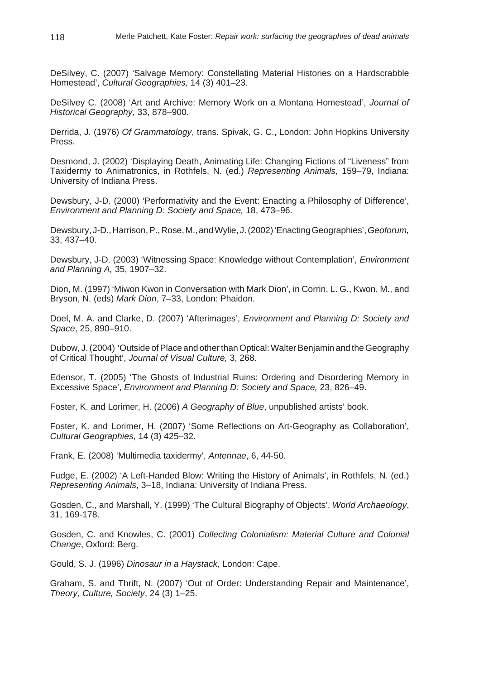DeSilvey, C. (2007) 'Salvage Memory: Constellating Material Histories on a Hardscrabble Homestead', *Cultural Geographies,* 14 (3) 401–23.

DeSilvey C. (2008) 'Art and Archive: Memory Work on a Montana Homestead', *Journal of Historical Geography,* 33, 878–900.

Derrida, J. (1976) *Of Grammatology*, trans. Spivak, G. C., London: John Hopkins University Press.

Desmond, J. (2002) 'Displaying Death, Animating Life: Changing Fictions of "Liveness" from Taxidermy to Animatronics, in Rothfels, N. (ed.) *Representing Animals*, 159–79, Indiana: University of Indiana Press.

Dewsbury, J-D. (2000) 'Performativity and the Event: Enacting a Philosophy of Difference', *Environment and Planning D: Society and Space,* 18, 473–96.

Dewsbury, J-D., Harrison, P., Rose, M., and Wylie, J. (2002) 'Enacting Geographies', *Geoforum,* 33, 437–40.

Dewsbury, J-D. (2003) 'Witnessing Space: Knowledge without Contemplation', *Environment and Planning A,* 35, 1907–32.

Dion, M. (1997) 'Miwon Kwon in Conversation with Mark Dion', in Corrin, L. G., Kwon, M., and Bryson, N. (eds) *Mark Dion*, 7–33, London: Phaidon.

Doel, M. A. and Clarke, D. (2007) 'Afterimages', *Environment and Planning D: Society and Space*, 25, 890–910.

Dubow, J. (2004) 'Outside of Place and other than Optical: Walter Benjamin and the Geography of Critical Thought', *Journal of Visual Culture,* 3, 268.

Edensor, T. (2005) 'The Ghosts of Industrial Ruins: Ordering and Disordering Memory in Excessive Space', *Environment and Planning D: Society and Space,* 23, 826–49.

Foster, K. and Lorimer, H. (2006) *A Geography of Blue*, unpublished artists' book.

Foster, K. and Lorimer, H. (2007) 'Some Reflections on Art-Geography as Collaboration', *Cultural Geographies*, 14 (3) 425–32.

Frank, E. (2008) 'Multimedia taxidermy', *Antennae*, 6, 44-50.

Fudge, E. (2002) 'A Left-Handed Blow: Writing the History of Animals', in Rothfels, N. (ed.) *Representing Animals*, 3–18, Indiana: University of Indiana Press.

Gosden, C., and Marshall, Y. (1999) 'The Cultural Biography of Objects', *World Archaeology*, 31, 169-178.

Gosden, C. and Knowles, C. (2001) *Collecting Colonialism: Material Culture and Colonial Change*, Oxford: Berg.

Gould, S. J. (1996) *Dinosaur in a Haystack*, London: Cape.

Graham, S. and Thrift, N. (2007) 'Out of Order: Understanding Repair and Maintenance', *Theory, Culture, Society*, 24 (3) 1–25.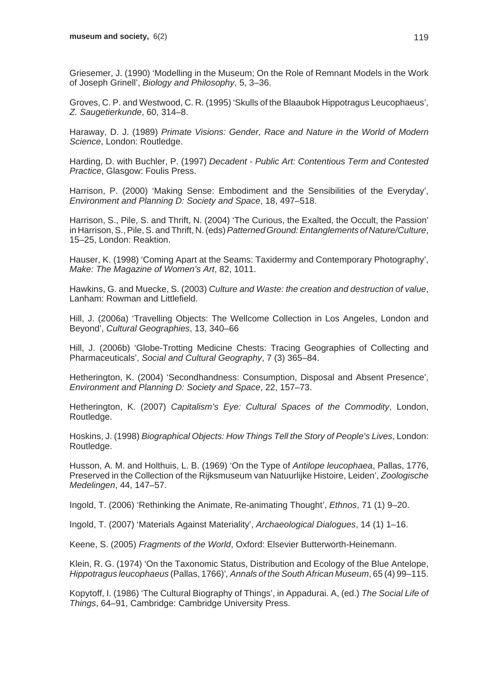Griesemer, J. (1990) 'Modelling in the Museum; On the Role of Remnant Models in the Work of Joseph Grinell', *Biology and Philosophy*, 5, 3–36.

Groves, C. P. and Westwood, C. R. (1995) 'Skulls of the Blaaubok Hippotragus Leucophaeus', *Z. Saugetierkunde*, 60, 314–8.

Haraway, D. J. (1989) *Primate Visions: Gender, Race and Nature in the World of Modern Science*, London: Routledge.

Harding, D. with Buchler, P. (1997) *Decadent - Public Art: Contentious Term and Contested Practice*, Glasgow: Foulis Press.

Harrison, P. (2000) 'Making Sense: Embodiment and the Sensibilities of the Everyday', *Environment and Planning D: Society and Space*, 18, 497–518.

Harrison, S., Pile, S. and Thrift, N. (2004) 'The Curious, the Exalted, the Occult, the Passion' in Harrison, S., Pile, S. and Thrift, N. (eds) *Patterned Ground: Entanglements of Nature/Culture*, 15–25, London: Reaktion.

Hauser, K. (1998) 'Coming Apart at the Seams: Taxidermy and Contemporary Photography', *Make: The Magazine of Women's Art*, 82, 1011.

Hawkins, G. and Muecke, S. (2003) *Culture and Waste: the creation and destruction of value*, Lanham: Rowman and Littlefield.

Hill, J. (2006a) 'Travelling Objects: The Wellcome Collection in Los Angeles, London and Beyond', *Cultural Geographies*, 13, 340–66

Hill, J. (2006b) 'Globe-Trotting Medicine Chests: Tracing Geographies of Collecting and Pharmaceuticals', *Social and Cultural Geography*, 7 (3) 365–84.

Hetherington, K. (2004) 'Secondhandness: Consumption, Disposal and Absent Presence', *Environment and Planning D: Society and Space*, 22, 157–73.

Hetherington, K. (2007) *Capitalism's Eye: Cultural Spaces of the Commodity*, London, Routledge.

Hoskins, J. (1998) *Biographical Objects: How Things Tell the Story of People's Lives*, London: Routledge.

Husson, A. M. and Holthuis, L. B. (1969) 'On the Type of *Antilope leucophaea*, Pallas, 1776, Preserved in the Collection of the Rijksmuseum van Natuurlijke Histoire, Leiden', *Zoologische Medelingen*, 44, 147–57.

Ingold, T. (2006) 'Rethinking the Animate, Re-animating Thought', *Ethnos*, 71 (1) 9–20.

Ingold, T. (2007) 'Materials Against Materiality', *Archaeological Dialogues*, 14 (1) 1–16.

Keene, S. (2005) *Fragments of the World*, Oxford: Elsevier Butterworth-Heinemann.

Klein, R. G. (1974) 'On the Taxonomic Status, Distribution and Ecology of the Blue Antelope, *Hippotragus leucophaeus* (Pallas, 1766)'*, Annals of the South African Museum*, 65 (4) 99–115.

Kopytoff, I. (1986) 'The Cultural Biography of Things', in Appadurai. A, (ed.) *The Social Life of Things*, 64–91, Cambridge: Cambridge University Press.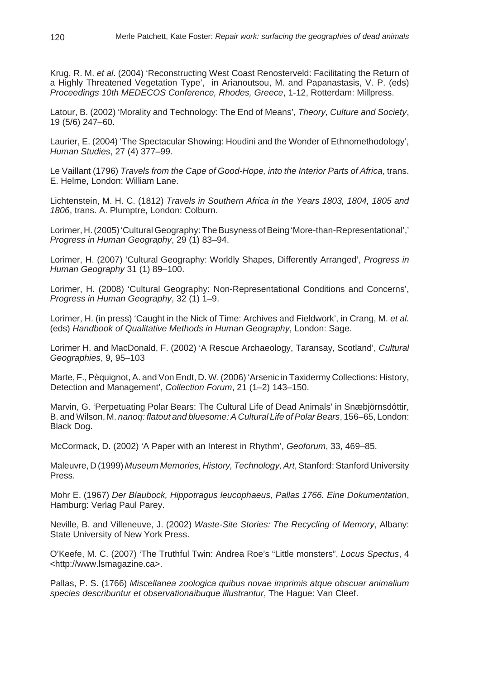Krug, R. M. *et al*. (2004) 'Reconstructing West Coast Renosterveld: Facilitating the Return of a Highly Threatened Vegetation Type', in Arianoutsou, M. and Papanastasis, V. P. (eds) *Proceedings 10th MEDECOS Conference, Rhodes, Greece*, 1-12, Rotterdam: Millpress.

Latour, B. (2002) 'Morality and Technology: The End of Means', *Theory, Culture and Society*, 19 (5/6) 247–60.

Laurier, E. (2004) 'The Spectacular Showing: Houdini and the Wonder of Ethnomethodology', *Human Studies*, 27 (4) 377–99.

Le Vaillant (1796) *Travels from the Cape of Good-Hope, into the Interior Parts of Africa*, trans. E. Helme, London: William Lane.

Lichtenstein, M. H. C. (1812) *Travels in Southern Africa in the Years 1803, 1804, 1805 and 1806*, trans. A. Plumptre, London: Colburn.

Lorimer, H. (2005) 'Cultural Geography: The Busyness of Being 'More-than-Representational',' *Progress in Human Geography*, 29 (1) 83–94.

Lorimer, H. (2007) 'Cultural Geography: Worldly Shapes, Differently Arranged', *Progress in Human Geography* 31 (1) 89–100.

Lorimer, H. (2008) 'Cultural Geography: Non-Representational Conditions and Concerns', *Progress in Human Geography*, 32 (1) 1–9.

Lorimer, H. (in press) 'Caught in the Nick of Time: Archives and Fieldwork', in Crang, M. *et al.* (eds) *Handbook of Qualitative Methods in Human Geography*, London: Sage.

Lorimer H. and MacDonald, F. (2002) 'A Rescue Archaeology, Taransay, Scotland', *Cultural Geographies*, 9, 95–103

Marte, F., Pèquignot, A. and Von Endt, D. W. (2006) 'Arsenic in Taxidermy Collections: History, Detection and Management', *Collection Forum*, 21 (1–2) 143–150.

Marvin, G. 'Perpetuating Polar Bears: The Cultural Life of Dead Animals' in Snæbjörnsdóttir, B. and Wilson, M. *nanoq: flatout and bluesome: A Cultural Life of Polar Bears*, 156–65, London: Black Dog.

McCormack, D. (2002) 'A Paper with an Interest in Rhythm', *Geoforum*, 33, 469–85.

Maleuvre, D (1999) *Museum Memories, History, Technology, Art*, Stanford: Stanford University Press.

Mohr E. (1967) *Der Blaubock, Hippotragus leucophaeus, Pallas 1766. Eine Dokumentation*, Hamburg: Verlag Paul Parey.

Neville, B. and Villeneuve, J. (2002) *Waste-Site Stories: The Recycling of Memory*, Albany: State University of New York Press.

O'Keefe, M. C. (2007) 'The Truthful Twin: Andrea Roe's "Little monsters", *Locus Spectus*, 4 <http://www.lsmagazine.ca>.

Pallas, P. S. (1766) *Miscellanea zoologica quibus novae imprimis atque obscuar animalium species describuntur et observationaibuque illustrantur*, The Hague: Van Cleef.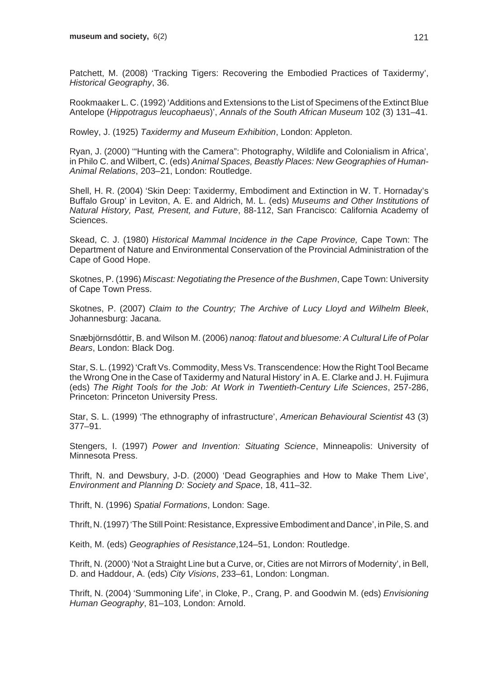Patchett, M. (2008) 'Tracking Tigers: Recovering the Embodied Practices of Taxidermy', *Historical Geography*, 36.

Rookmaaker L. C. (1992) 'Additions and Extensions to the List of Specimens of the Extinct Blue Antelope (*Hippotragus leucophaeus*)', *Annals of the South African Museum* 102 (3) 131–41.

Rowley, J. (1925) *Taxidermy and Museum Exhibition*, London: Appleton.

Ryan, J. (2000) '"Hunting with the Camera": Photography, Wildlife and Colonialism in Africa', in Philo C. and Wilbert, C. (eds) *Animal Spaces, Beastly Places: New Geographies of Human-Animal Relations*, 203–21, London: Routledge.

Shell, H. R. (2004) 'Skin Deep: Taxidermy, Embodiment and Extinction in W. T. Hornaday's Buffalo Group' in Leviton, A. E. and Aldrich, M. L. (eds) *Museums and Other Institutions of Natural History, Past, Present, and Future*, 88-112, San Francisco: California Academy of Sciences.

Skead, C. J. (1980) *Historical Mammal Incidence in the Cape Province,* Cape Town: The Department of Nature and Environmental Conservation of the Provincial Administration of the Cape of Good Hope.

Skotnes, P. (1996) *Miscast: Negotiating the Presence of the Bushmen*, Cape Town: University of Cape Town Press.

Skotnes, P. (2007) *Claim to the Country; The Archive of Lucy Lloyd and Wilhelm Bleek*, Johannesburg: Jacana.

Snæbjörnsdóttir, B. and Wilson M. (2006) *nanoq: flatout and bluesome: A Cultural Life of Polar Bears*, London: Black Dog.

Star, S. L. (1992) 'Craft Vs. Commodity, Mess Vs. Transcendence: How the Right Tool Became the Wrong One in the Case of Taxidermy and Natural History' in A. E. Clarke and J. H. Fujimura (eds) *The Right Tools for the Job: At Work in Twentieth-Century Life Sciences*, 257-286, Princeton: Princeton University Press.

Star, S. L. (1999) 'The ethnography of infrastructure', *American Behavioural Scientist* 43 (3) 377–91.

Stengers, I. (1997) *Power and Invention: Situating Science*, Minneapolis: University of Minnesota Press.

Thrift, N. and Dewsbury, J-D. (2000) 'Dead Geographies and How to Make Them Live', *Environment and Planning D: Society and Space*, 18, 411–32.

Thrift, N. (1996) *Spatial Formations*, London: Sage.

Thrift, N. (1997) 'The Still Point: Resistance, Expressive Embodiment and Dance', in Pile, S. and

Keith, M. (eds) *Geographies of Resistance*,124–51, London: Routledge.

Thrift, N. (2000) 'Not a Straight Line but a Curve, or, Cities are not Mirrors of Modernity', in Bell, D. and Haddour, A. (eds) *City Visions*, 233–61, London: Longman.

Thrift, N. (2004) 'Summoning Life', in Cloke, P., Crang, P. and Goodwin M. (eds) *Envisioning Human Geography*, 81–103, London: Arnold.